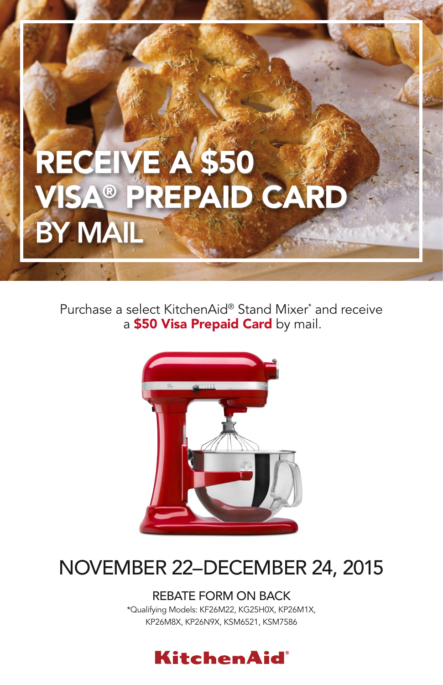# RECEIVE A \$50 **VISA® PREPAID CARI** BY MAIL

Purchase a select KitchenAid® Stand Mixer\* and receive a \$50 Visa Prepaid Card by mail.



# NOVEMBER 22–DECEMBER 24, 2015

REBATE FORM ON BACK \*Qualifying Models: KF26M22, KG25H0X, KP26M1X, KP26M8X, KP26N9X, KSM6521, KSM7586

### **KitchenAid**®